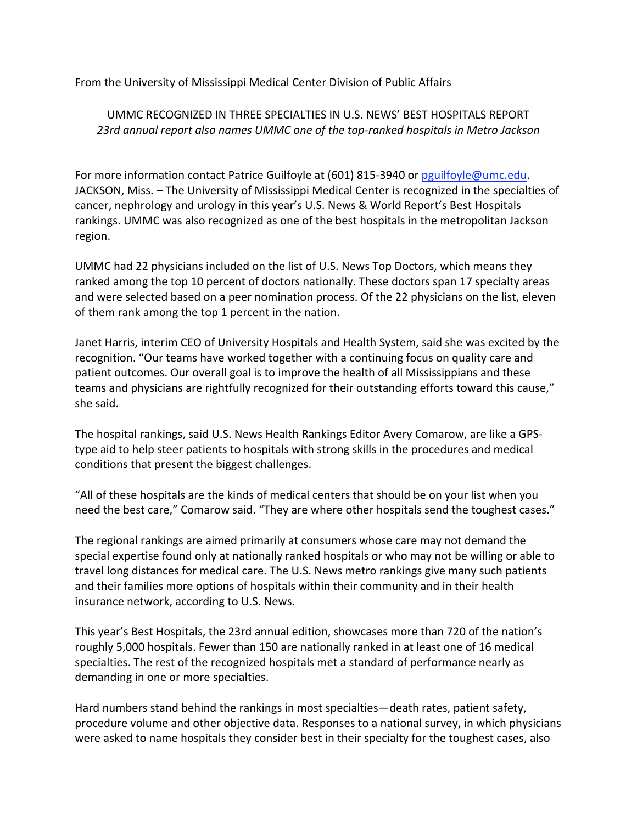From the University of Mississippi Medical Center Division of Public Affairs

## UMMC RECOGNIZED IN THREE SPECIALTIES IN U.S. NEWS' BEST HOSPITALS REPORT *23rd annual report also names UMMC one of the top‐ranked hospitals in Metro Jackson*

For more information contact Patrice Guilfoyle at (601) 815‐3940 or pguilfoyle@umc.edu. JACKSON, Miss. – The University of Mississippi Medical Center is recognized in the specialties of cancer, nephrology and urology in this year's U.S. News & World Report's Best Hospitals rankings. UMMC was also recognized as one of the best hospitals in the metropolitan Jackson region.

UMMC had 22 physicians included on the list of U.S. News Top Doctors, which means they ranked among the top 10 percent of doctors nationally. These doctors span 17 specialty areas and were selected based on a peer nomination process. Of the 22 physicians on the list, eleven of them rank among the top 1 percent in the nation.

Janet Harris, interim CEO of University Hospitals and Health System, said she was excited by the recognition. "Our teams have worked together with a continuing focus on quality care and patient outcomes. Our overall goal is to improve the health of all Mississippians and these teams and physicians are rightfully recognized for their outstanding efforts toward this cause," she said.

The hospital rankings, said U.S. News Health Rankings Editor Avery Comarow, are like a GPS‐ type aid to help steer patients to hospitals with strong skills in the procedures and medical conditions that present the biggest challenges.

"All of these hospitals are the kinds of medical centers that should be on your list when you need the best care," Comarow said. "They are where other hospitals send the toughest cases."

The regional rankings are aimed primarily at consumers whose care may not demand the special expertise found only at nationally ranked hospitals or who may not be willing or able to travel long distances for medical care. The U.S. News metro rankings give many such patients and their families more options of hospitals within their community and in their health insurance network, according to U.S. News.

This year's Best Hospitals, the 23rd annual edition, showcases more than 720 of the nation's roughly 5,000 hospitals. Fewer than 150 are nationally ranked in at least one of 16 medical specialties. The rest of the recognized hospitals met a standard of performance nearly as demanding in one or more specialties.

Hard numbers stand behind the rankings in most specialties—death rates, patient safety, procedure volume and other objective data. Responses to a national survey, in which physicians were asked to name hospitals they consider best in their specialty for the toughest cases, also